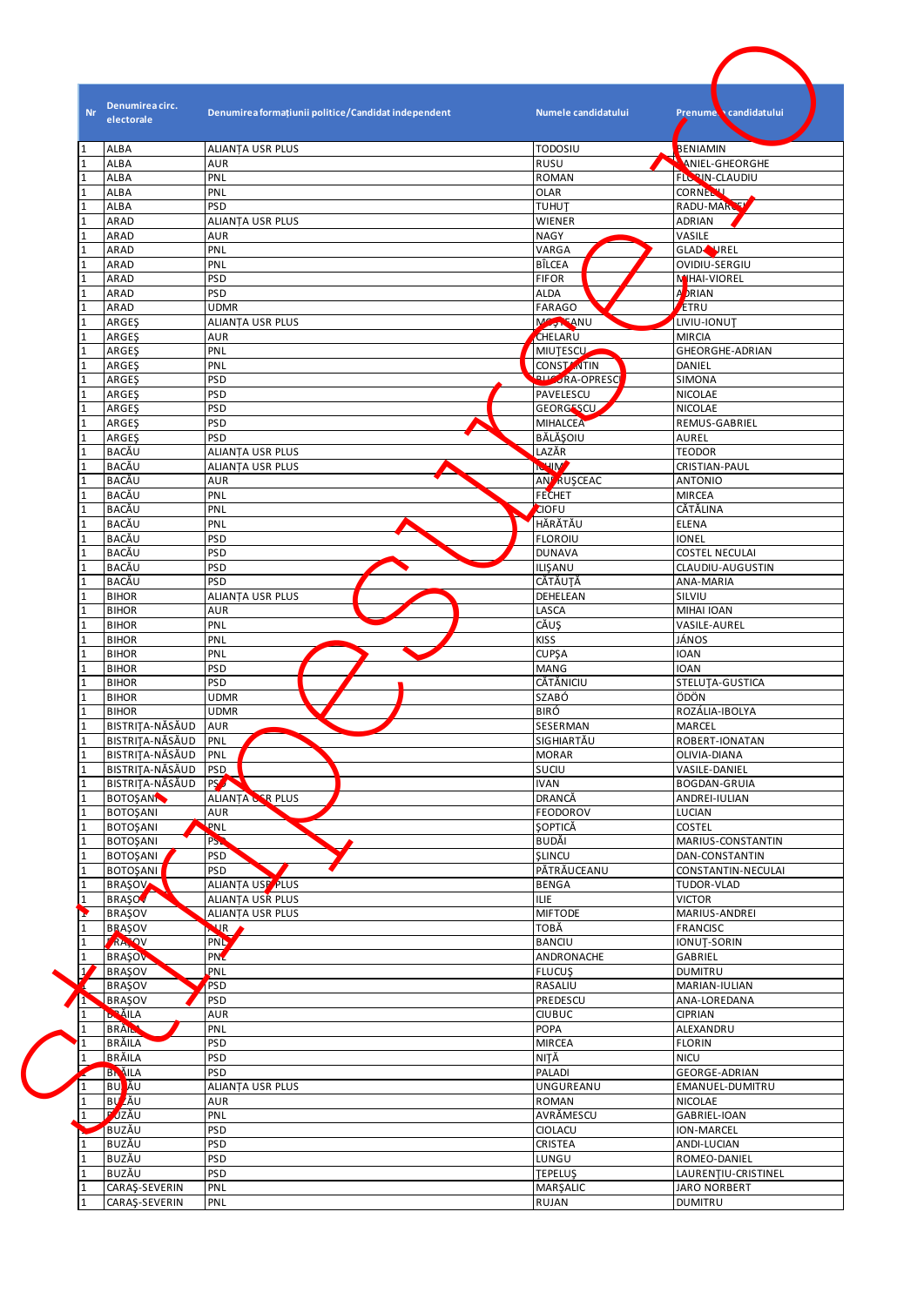| <b>ALIANȚA USR PLUS</b><br><b>TODOSIU</b><br>BENIAMIN<br>RUSU<br><b>AUR</b><br>ANIEL-GHEORGHE<br><b>FLOON CLAUDIU</b><br>PNL<br><b>ROMAN</b><br><b>CORNELLI</b><br>PNL<br><b>OLAR</b><br>RADU-MARCH<br><b>PSD</b><br><b>TUHUT</b><br>ADRIAN<br>ALIANȚA USR PLUS<br>WIENER<br><b>NAGY</b><br>VASILE<br><b>AUR</b><br>PNL<br>VARGA<br>GLAD <sup>N</sup> NREL<br>PNL<br>BÎLCEA<br>OVIDIU-SERGIU<br><b>PSD</b><br><b>FIFOR</b><br>MHAI-VIOREL<br><b>A</b> RIAN<br><b>PSD</b><br><b>ALDA</b><br>ETRU<br><b>UDMR</b><br><b>FARAGO</b><br>Magnesinu<br>ALIANȚA USR PLUS<br>LIVIU-IONUT<br>CHELARU<br><b>MIRCIA</b><br><b>AUR</b><br>PNL<br><b>MIUTESCU</b><br>GHEORGHE-ADRIAN<br>PNL<br>CONSTANTIN<br>DANIEL<br><b>RA-OPRESCI</b><br><b>PSD</b><br>SIMONA<br>PSD<br>PAVELESCU<br>NICOLAE<br><b>PSD</b><br><b>GEORGESCU</b><br><b>NICOLAE</b><br><b>MIHALCEA</b><br><b>PSD</b><br>REMUS-GABRIEL<br>́<br>BĂLĂŞOIU<br><b>PSD</b><br>AUREL<br>LAZĂR<br><b>TEODOR</b><br><b>ALIANTA USR PLUS</b><br><b>ICHIM</b><br>ALIANȚA USR PLUS<br>CRISTIAN-PAUL<br><b>AN<sup>F</sup> RUSCEAC</b><br>AUR<br><b>ANTONIO</b><br><b>FECHET</b><br>PNL<br><b>MIRCEA</b><br>CĂTĂLINA<br>PNL<br><b>CIOFU</b><br>HĂRĂTĂU<br>PNL<br><b>ELENA</b><br>PSD<br><b>FLOROIU</b><br><b>IONEL</b><br><b>PSD</b><br><b>DUNAVA</b><br><b>COSTEL NECULAI</b><br>PSD<br>ILISANU<br>CLAUDIU-AUGUSTIN<br><b>CĂTĂUȚĂ</b><br><b>PSD</b><br>ANA-MARIA<br>DEHELEAN<br>SILVIU<br><b>ALIANTA USR PLUS</b><br><b>AUR</b><br>LASCA<br>MIHAI IOAN<br>CĂUŞ<br>PNL<br>VASILE-AUREL<br><b>KISS</b><br>PNL<br>JÁNOS<br>PNL<br><b>CUPŞA</b><br><b>IOAN</b><br><b>PSD</b><br><b>MANG</b><br><b>IOAN</b><br>PSD<br>CĂTĂNICIU<br>STELUTA-GUSTICA<br><b>UDMR</b><br>SZABÓ<br>ÖDÖN<br><b>UDMR</b><br><b>BIRÓ</b><br>ROZÁLIA-IBOLYA<br>SESERMAN<br>MARCEL<br>SIGHIARTĂU<br>PNL<br>ROBERT-IONATAN<br><b>MORAR</b><br>PNL<br>OLIVIA-DIANA<br>SUCIU<br>PSD.<br>VASILE-DANIEL<br><b>PS AN</b><br><b>IVAN</b><br><b>BOGDAN-GRUIA</b><br>ALIANȚA CER PLUS<br>DRANCĂ<br>ANDREI-IULIAN<br><b>AUR</b><br>FEODOROV<br>LUCIAN<br>PNL<br><b>ŞOPTICĂ</b><br>COSTEL<br>P <sub>S</sub><br>BUDĂI<br>MARIUS-CONSTANTIN<br><b>PSD</b><br><b>SLINCU</b><br>DAN-CONSTANTIN<br>PĂTRĂUCEANU<br><b>PSD</b><br>CONSTANTIN-NECULAI<br>ALIANȚA USP PLUS<br><b>BENGA</b><br>TUDOR-VLAD<br><b>ILIE</b><br>ALIANTA USR PLUS<br><b>VICTOR</b><br>ALIANȚA USR PLUS<br><b>MIFTODE</b><br>MARIUS-ANDREI<br>TOBĂ<br>FRANCISC<br><b>NIR</b><br><b>PNL</b><br><b>BANCIU</b><br>IONUT-SORIN<br><b>PNZ</b><br>ANDRONACHE<br>GABRIEL<br>PNL<br><b>FLUCUS</b><br><b>DUMITRU</b><br>PSD<br>RASALIU<br>MARIAN-IULIAN<br><b>PSD</b><br>PREDESCU<br>ANA-LOREDANA<br><b>AUR</b><br><b>CIUBUC</b><br><b>CIPRIAN</b><br>PNL<br>POPA<br>ALEXANDRU<br>PSD<br>MIRCEA<br><b>FLORIN</b><br>NITĂ<br><b>PSD</b><br><b>NICU</b> | <b>Nr</b><br>electorale            | Denumirea circ.<br>Denumirea formațiunii politice/Candidat independent | Numele candidatului<br>Prenume candidatului |
|---------------------------------------------------------------------------------------------------------------------------------------------------------------------------------------------------------------------------------------------------------------------------------------------------------------------------------------------------------------------------------------------------------------------------------------------------------------------------------------------------------------------------------------------------------------------------------------------------------------------------------------------------------------------------------------------------------------------------------------------------------------------------------------------------------------------------------------------------------------------------------------------------------------------------------------------------------------------------------------------------------------------------------------------------------------------------------------------------------------------------------------------------------------------------------------------------------------------------------------------------------------------------------------------------------------------------------------------------------------------------------------------------------------------------------------------------------------------------------------------------------------------------------------------------------------------------------------------------------------------------------------------------------------------------------------------------------------------------------------------------------------------------------------------------------------------------------------------------------------------------------------------------------------------------------------------------------------------------------------------------------------------------------------------------------------------------------------------------------------------------------------------------------------------------------------------------------------------------------------------------------------------------------------------------------------------------------------------------------------------------------------------------------------------------------------------------------------------------------------------------------------------------------------------------------------------------------------------------------------------------------------------------------------------------------------------------------------------------------------------------------------------------------------------------------|------------------------------------|------------------------------------------------------------------------|---------------------------------------------|
|                                                                                                                                                                                                                                                                                                                                                                                                                                                                                                                                                                                                                                                                                                                                                                                                                                                                                                                                                                                                                                                                                                                                                                                                                                                                                                                                                                                                                                                                                                                                                                                                                                                                                                                                                                                                                                                                                                                                                                                                                                                                                                                                                                                                                                                                                                                                                                                                                                                                                                                                                                                                                                                                                                                                                                                                         | <b>ALBA</b>                        |                                                                        |                                             |
|                                                                                                                                                                                                                                                                                                                                                                                                                                                                                                                                                                                                                                                                                                                                                                                                                                                                                                                                                                                                                                                                                                                                                                                                                                                                                                                                                                                                                                                                                                                                                                                                                                                                                                                                                                                                                                                                                                                                                                                                                                                                                                                                                                                                                                                                                                                                                                                                                                                                                                                                                                                                                                                                                                                                                                                                         | <b>ALBA</b>                        |                                                                        |                                             |
|                                                                                                                                                                                                                                                                                                                                                                                                                                                                                                                                                                                                                                                                                                                                                                                                                                                                                                                                                                                                                                                                                                                                                                                                                                                                                                                                                                                                                                                                                                                                                                                                                                                                                                                                                                                                                                                                                                                                                                                                                                                                                                                                                                                                                                                                                                                                                                                                                                                                                                                                                                                                                                                                                                                                                                                                         | <b>ALBA</b>                        |                                                                        |                                             |
|                                                                                                                                                                                                                                                                                                                                                                                                                                                                                                                                                                                                                                                                                                                                                                                                                                                                                                                                                                                                                                                                                                                                                                                                                                                                                                                                                                                                                                                                                                                                                                                                                                                                                                                                                                                                                                                                                                                                                                                                                                                                                                                                                                                                                                                                                                                                                                                                                                                                                                                                                                                                                                                                                                                                                                                                         | <b>ALBA</b>                        |                                                                        |                                             |
|                                                                                                                                                                                                                                                                                                                                                                                                                                                                                                                                                                                                                                                                                                                                                                                                                                                                                                                                                                                                                                                                                                                                                                                                                                                                                                                                                                                                                                                                                                                                                                                                                                                                                                                                                                                                                                                                                                                                                                                                                                                                                                                                                                                                                                                                                                                                                                                                                                                                                                                                                                                                                                                                                                                                                                                                         | <b>ALBA</b>                        |                                                                        |                                             |
|                                                                                                                                                                                                                                                                                                                                                                                                                                                                                                                                                                                                                                                                                                                                                                                                                                                                                                                                                                                                                                                                                                                                                                                                                                                                                                                                                                                                                                                                                                                                                                                                                                                                                                                                                                                                                                                                                                                                                                                                                                                                                                                                                                                                                                                                                                                                                                                                                                                                                                                                                                                                                                                                                                                                                                                                         | ARAD                               |                                                                        |                                             |
|                                                                                                                                                                                                                                                                                                                                                                                                                                                                                                                                                                                                                                                                                                                                                                                                                                                                                                                                                                                                                                                                                                                                                                                                                                                                                                                                                                                                                                                                                                                                                                                                                                                                                                                                                                                                                                                                                                                                                                                                                                                                                                                                                                                                                                                                                                                                                                                                                                                                                                                                                                                                                                                                                                                                                                                                         | ARAD                               |                                                                        |                                             |
|                                                                                                                                                                                                                                                                                                                                                                                                                                                                                                                                                                                                                                                                                                                                                                                                                                                                                                                                                                                                                                                                                                                                                                                                                                                                                                                                                                                                                                                                                                                                                                                                                                                                                                                                                                                                                                                                                                                                                                                                                                                                                                                                                                                                                                                                                                                                                                                                                                                                                                                                                                                                                                                                                                                                                                                                         | ARAD                               |                                                                        |                                             |
|                                                                                                                                                                                                                                                                                                                                                                                                                                                                                                                                                                                                                                                                                                                                                                                                                                                                                                                                                                                                                                                                                                                                                                                                                                                                                                                                                                                                                                                                                                                                                                                                                                                                                                                                                                                                                                                                                                                                                                                                                                                                                                                                                                                                                                                                                                                                                                                                                                                                                                                                                                                                                                                                                                                                                                                                         | ARAD                               |                                                                        |                                             |
|                                                                                                                                                                                                                                                                                                                                                                                                                                                                                                                                                                                                                                                                                                                                                                                                                                                                                                                                                                                                                                                                                                                                                                                                                                                                                                                                                                                                                                                                                                                                                                                                                                                                                                                                                                                                                                                                                                                                                                                                                                                                                                                                                                                                                                                                                                                                                                                                                                                                                                                                                                                                                                                                                                                                                                                                         | ARAD                               |                                                                        |                                             |
|                                                                                                                                                                                                                                                                                                                                                                                                                                                                                                                                                                                                                                                                                                                                                                                                                                                                                                                                                                                                                                                                                                                                                                                                                                                                                                                                                                                                                                                                                                                                                                                                                                                                                                                                                                                                                                                                                                                                                                                                                                                                                                                                                                                                                                                                                                                                                                                                                                                                                                                                                                                                                                                                                                                                                                                                         | ARAD                               |                                                                        |                                             |
|                                                                                                                                                                                                                                                                                                                                                                                                                                                                                                                                                                                                                                                                                                                                                                                                                                                                                                                                                                                                                                                                                                                                                                                                                                                                                                                                                                                                                                                                                                                                                                                                                                                                                                                                                                                                                                                                                                                                                                                                                                                                                                                                                                                                                                                                                                                                                                                                                                                                                                                                                                                                                                                                                                                                                                                                         | ARAD                               |                                                                        |                                             |
|                                                                                                                                                                                                                                                                                                                                                                                                                                                                                                                                                                                                                                                                                                                                                                                                                                                                                                                                                                                                                                                                                                                                                                                                                                                                                                                                                                                                                                                                                                                                                                                                                                                                                                                                                                                                                                                                                                                                                                                                                                                                                                                                                                                                                                                                                                                                                                                                                                                                                                                                                                                                                                                                                                                                                                                                         | ARGES                              |                                                                        |                                             |
|                                                                                                                                                                                                                                                                                                                                                                                                                                                                                                                                                                                                                                                                                                                                                                                                                                                                                                                                                                                                                                                                                                                                                                                                                                                                                                                                                                                                                                                                                                                                                                                                                                                                                                                                                                                                                                                                                                                                                                                                                                                                                                                                                                                                                                                                                                                                                                                                                                                                                                                                                                                                                                                                                                                                                                                                         | ARGES                              |                                                                        |                                             |
|                                                                                                                                                                                                                                                                                                                                                                                                                                                                                                                                                                                                                                                                                                                                                                                                                                                                                                                                                                                                                                                                                                                                                                                                                                                                                                                                                                                                                                                                                                                                                                                                                                                                                                                                                                                                                                                                                                                                                                                                                                                                                                                                                                                                                                                                                                                                                                                                                                                                                                                                                                                                                                                                                                                                                                                                         | ARGES                              |                                                                        |                                             |
|                                                                                                                                                                                                                                                                                                                                                                                                                                                                                                                                                                                                                                                                                                                                                                                                                                                                                                                                                                                                                                                                                                                                                                                                                                                                                                                                                                                                                                                                                                                                                                                                                                                                                                                                                                                                                                                                                                                                                                                                                                                                                                                                                                                                                                                                                                                                                                                                                                                                                                                                                                                                                                                                                                                                                                                                         | ARGES                              |                                                                        |                                             |
|                                                                                                                                                                                                                                                                                                                                                                                                                                                                                                                                                                                                                                                                                                                                                                                                                                                                                                                                                                                                                                                                                                                                                                                                                                                                                                                                                                                                                                                                                                                                                                                                                                                                                                                                                                                                                                                                                                                                                                                                                                                                                                                                                                                                                                                                                                                                                                                                                                                                                                                                                                                                                                                                                                                                                                                                         | <b>ARGES</b>                       |                                                                        |                                             |
|                                                                                                                                                                                                                                                                                                                                                                                                                                                                                                                                                                                                                                                                                                                                                                                                                                                                                                                                                                                                                                                                                                                                                                                                                                                                                                                                                                                                                                                                                                                                                                                                                                                                                                                                                                                                                                                                                                                                                                                                                                                                                                                                                                                                                                                                                                                                                                                                                                                                                                                                                                                                                                                                                                                                                                                                         | ARGES                              |                                                                        |                                             |
|                                                                                                                                                                                                                                                                                                                                                                                                                                                                                                                                                                                                                                                                                                                                                                                                                                                                                                                                                                                                                                                                                                                                                                                                                                                                                                                                                                                                                                                                                                                                                                                                                                                                                                                                                                                                                                                                                                                                                                                                                                                                                                                                                                                                                                                                                                                                                                                                                                                                                                                                                                                                                                                                                                                                                                                                         | ARGES<br>ARGES                     |                                                                        |                                             |
|                                                                                                                                                                                                                                                                                                                                                                                                                                                                                                                                                                                                                                                                                                                                                                                                                                                                                                                                                                                                                                                                                                                                                                                                                                                                                                                                                                                                                                                                                                                                                                                                                                                                                                                                                                                                                                                                                                                                                                                                                                                                                                                                                                                                                                                                                                                                                                                                                                                                                                                                                                                                                                                                                                                                                                                                         | ARGES                              |                                                                        |                                             |
|                                                                                                                                                                                                                                                                                                                                                                                                                                                                                                                                                                                                                                                                                                                                                                                                                                                                                                                                                                                                                                                                                                                                                                                                                                                                                                                                                                                                                                                                                                                                                                                                                                                                                                                                                                                                                                                                                                                                                                                                                                                                                                                                                                                                                                                                                                                                                                                                                                                                                                                                                                                                                                                                                                                                                                                                         | <b>BACĂU</b>                       |                                                                        |                                             |
|                                                                                                                                                                                                                                                                                                                                                                                                                                                                                                                                                                                                                                                                                                                                                                                                                                                                                                                                                                                                                                                                                                                                                                                                                                                                                                                                                                                                                                                                                                                                                                                                                                                                                                                                                                                                                                                                                                                                                                                                                                                                                                                                                                                                                                                                                                                                                                                                                                                                                                                                                                                                                                                                                                                                                                                                         | <b>BACĂU</b>                       |                                                                        |                                             |
|                                                                                                                                                                                                                                                                                                                                                                                                                                                                                                                                                                                                                                                                                                                                                                                                                                                                                                                                                                                                                                                                                                                                                                                                                                                                                                                                                                                                                                                                                                                                                                                                                                                                                                                                                                                                                                                                                                                                                                                                                                                                                                                                                                                                                                                                                                                                                                                                                                                                                                                                                                                                                                                                                                                                                                                                         | BACĂU                              |                                                                        |                                             |
|                                                                                                                                                                                                                                                                                                                                                                                                                                                                                                                                                                                                                                                                                                                                                                                                                                                                                                                                                                                                                                                                                                                                                                                                                                                                                                                                                                                                                                                                                                                                                                                                                                                                                                                                                                                                                                                                                                                                                                                                                                                                                                                                                                                                                                                                                                                                                                                                                                                                                                                                                                                                                                                                                                                                                                                                         | BACĂU                              |                                                                        |                                             |
|                                                                                                                                                                                                                                                                                                                                                                                                                                                                                                                                                                                                                                                                                                                                                                                                                                                                                                                                                                                                                                                                                                                                                                                                                                                                                                                                                                                                                                                                                                                                                                                                                                                                                                                                                                                                                                                                                                                                                                                                                                                                                                                                                                                                                                                                                                                                                                                                                                                                                                                                                                                                                                                                                                                                                                                                         | BACĂU                              |                                                                        |                                             |
|                                                                                                                                                                                                                                                                                                                                                                                                                                                                                                                                                                                                                                                                                                                                                                                                                                                                                                                                                                                                                                                                                                                                                                                                                                                                                                                                                                                                                                                                                                                                                                                                                                                                                                                                                                                                                                                                                                                                                                                                                                                                                                                                                                                                                                                                                                                                                                                                                                                                                                                                                                                                                                                                                                                                                                                                         | <b>BACĂU</b>                       |                                                                        |                                             |
|                                                                                                                                                                                                                                                                                                                                                                                                                                                                                                                                                                                                                                                                                                                                                                                                                                                                                                                                                                                                                                                                                                                                                                                                                                                                                                                                                                                                                                                                                                                                                                                                                                                                                                                                                                                                                                                                                                                                                                                                                                                                                                                                                                                                                                                                                                                                                                                                                                                                                                                                                                                                                                                                                                                                                                                                         | <b>BACĂU</b>                       |                                                                        |                                             |
|                                                                                                                                                                                                                                                                                                                                                                                                                                                                                                                                                                                                                                                                                                                                                                                                                                                                                                                                                                                                                                                                                                                                                                                                                                                                                                                                                                                                                                                                                                                                                                                                                                                                                                                                                                                                                                                                                                                                                                                                                                                                                                                                                                                                                                                                                                                                                                                                                                                                                                                                                                                                                                                                                                                                                                                                         | BACĂU                              |                                                                        |                                             |
|                                                                                                                                                                                                                                                                                                                                                                                                                                                                                                                                                                                                                                                                                                                                                                                                                                                                                                                                                                                                                                                                                                                                                                                                                                                                                                                                                                                                                                                                                                                                                                                                                                                                                                                                                                                                                                                                                                                                                                                                                                                                                                                                                                                                                                                                                                                                                                                                                                                                                                                                                                                                                                                                                                                                                                                                         | BACĂU                              |                                                                        |                                             |
|                                                                                                                                                                                                                                                                                                                                                                                                                                                                                                                                                                                                                                                                                                                                                                                                                                                                                                                                                                                                                                                                                                                                                                                                                                                                                                                                                                                                                                                                                                                                                                                                                                                                                                                                                                                                                                                                                                                                                                                                                                                                                                                                                                                                                                                                                                                                                                                                                                                                                                                                                                                                                                                                                                                                                                                                         | BACĂU                              |                                                                        |                                             |
|                                                                                                                                                                                                                                                                                                                                                                                                                                                                                                                                                                                                                                                                                                                                                                                                                                                                                                                                                                                                                                                                                                                                                                                                                                                                                                                                                                                                                                                                                                                                                                                                                                                                                                                                                                                                                                                                                                                                                                                                                                                                                                                                                                                                                                                                                                                                                                                                                                                                                                                                                                                                                                                                                                                                                                                                         | <b>BIHOR</b>                       |                                                                        |                                             |
|                                                                                                                                                                                                                                                                                                                                                                                                                                                                                                                                                                                                                                                                                                                                                                                                                                                                                                                                                                                                                                                                                                                                                                                                                                                                                                                                                                                                                                                                                                                                                                                                                                                                                                                                                                                                                                                                                                                                                                                                                                                                                                                                                                                                                                                                                                                                                                                                                                                                                                                                                                                                                                                                                                                                                                                                         | <b>BIHOR</b>                       |                                                                        |                                             |
|                                                                                                                                                                                                                                                                                                                                                                                                                                                                                                                                                                                                                                                                                                                                                                                                                                                                                                                                                                                                                                                                                                                                                                                                                                                                                                                                                                                                                                                                                                                                                                                                                                                                                                                                                                                                                                                                                                                                                                                                                                                                                                                                                                                                                                                                                                                                                                                                                                                                                                                                                                                                                                                                                                                                                                                                         | <b>BIHOR</b>                       |                                                                        |                                             |
|                                                                                                                                                                                                                                                                                                                                                                                                                                                                                                                                                                                                                                                                                                                                                                                                                                                                                                                                                                                                                                                                                                                                                                                                                                                                                                                                                                                                                                                                                                                                                                                                                                                                                                                                                                                                                                                                                                                                                                                                                                                                                                                                                                                                                                                                                                                                                                                                                                                                                                                                                                                                                                                                                                                                                                                                         | <b>BIHOR</b>                       |                                                                        |                                             |
|                                                                                                                                                                                                                                                                                                                                                                                                                                                                                                                                                                                                                                                                                                                                                                                                                                                                                                                                                                                                                                                                                                                                                                                                                                                                                                                                                                                                                                                                                                                                                                                                                                                                                                                                                                                                                                                                                                                                                                                                                                                                                                                                                                                                                                                                                                                                                                                                                                                                                                                                                                                                                                                                                                                                                                                                         | <b>BIHOR</b>                       |                                                                        |                                             |
|                                                                                                                                                                                                                                                                                                                                                                                                                                                                                                                                                                                                                                                                                                                                                                                                                                                                                                                                                                                                                                                                                                                                                                                                                                                                                                                                                                                                                                                                                                                                                                                                                                                                                                                                                                                                                                                                                                                                                                                                                                                                                                                                                                                                                                                                                                                                                                                                                                                                                                                                                                                                                                                                                                                                                                                                         | <b>BIHOR</b>                       |                                                                        |                                             |
|                                                                                                                                                                                                                                                                                                                                                                                                                                                                                                                                                                                                                                                                                                                                                                                                                                                                                                                                                                                                                                                                                                                                                                                                                                                                                                                                                                                                                                                                                                                                                                                                                                                                                                                                                                                                                                                                                                                                                                                                                                                                                                                                                                                                                                                                                                                                                                                                                                                                                                                                                                                                                                                                                                                                                                                                         | <b>BIHOR</b>                       |                                                                        |                                             |
|                                                                                                                                                                                                                                                                                                                                                                                                                                                                                                                                                                                                                                                                                                                                                                                                                                                                                                                                                                                                                                                                                                                                                                                                                                                                                                                                                                                                                                                                                                                                                                                                                                                                                                                                                                                                                                                                                                                                                                                                                                                                                                                                                                                                                                                                                                                                                                                                                                                                                                                                                                                                                                                                                                                                                                                                         | <b>BIHOR</b>                       |                                                                        |                                             |
|                                                                                                                                                                                                                                                                                                                                                                                                                                                                                                                                                                                                                                                                                                                                                                                                                                                                                                                                                                                                                                                                                                                                                                                                                                                                                                                                                                                                                                                                                                                                                                                                                                                                                                                                                                                                                                                                                                                                                                                                                                                                                                                                                                                                                                                                                                                                                                                                                                                                                                                                                                                                                                                                                                                                                                                                         | <b>BIHOR</b>                       |                                                                        |                                             |
|                                                                                                                                                                                                                                                                                                                                                                                                                                                                                                                                                                                                                                                                                                                                                                                                                                                                                                                                                                                                                                                                                                                                                                                                                                                                                                                                                                                                                                                                                                                                                                                                                                                                                                                                                                                                                                                                                                                                                                                                                                                                                                                                                                                                                                                                                                                                                                                                                                                                                                                                                                                                                                                                                                                                                                                                         |                                    | BISTRITA-NĂSĂUD AUR                                                    |                                             |
|                                                                                                                                                                                                                                                                                                                                                                                                                                                                                                                                                                                                                                                                                                                                                                                                                                                                                                                                                                                                                                                                                                                                                                                                                                                                                                                                                                                                                                                                                                                                                                                                                                                                                                                                                                                                                                                                                                                                                                                                                                                                                                                                                                                                                                                                                                                                                                                                                                                                                                                                                                                                                                                                                                                                                                                                         | BISTRITA-NĂSĂUD                    |                                                                        |                                             |
|                                                                                                                                                                                                                                                                                                                                                                                                                                                                                                                                                                                                                                                                                                                                                                                                                                                                                                                                                                                                                                                                                                                                                                                                                                                                                                                                                                                                                                                                                                                                                                                                                                                                                                                                                                                                                                                                                                                                                                                                                                                                                                                                                                                                                                                                                                                                                                                                                                                                                                                                                                                                                                                                                                                                                                                                         | BISTRITA-NĂSĂUD                    |                                                                        |                                             |
|                                                                                                                                                                                                                                                                                                                                                                                                                                                                                                                                                                                                                                                                                                                                                                                                                                                                                                                                                                                                                                                                                                                                                                                                                                                                                                                                                                                                                                                                                                                                                                                                                                                                                                                                                                                                                                                                                                                                                                                                                                                                                                                                                                                                                                                                                                                                                                                                                                                                                                                                                                                                                                                                                                                                                                                                         | BISTRITA-NĂSĂUD                    |                                                                        |                                             |
|                                                                                                                                                                                                                                                                                                                                                                                                                                                                                                                                                                                                                                                                                                                                                                                                                                                                                                                                                                                                                                                                                                                                                                                                                                                                                                                                                                                                                                                                                                                                                                                                                                                                                                                                                                                                                                                                                                                                                                                                                                                                                                                                                                                                                                                                                                                                                                                                                                                                                                                                                                                                                                                                                                                                                                                                         | BISTRITA-NĂSĂUD                    |                                                                        |                                             |
|                                                                                                                                                                                                                                                                                                                                                                                                                                                                                                                                                                                                                                                                                                                                                                                                                                                                                                                                                                                                                                                                                                                                                                                                                                                                                                                                                                                                                                                                                                                                                                                                                                                                                                                                                                                                                                                                                                                                                                                                                                                                                                                                                                                                                                                                                                                                                                                                                                                                                                                                                                                                                                                                                                                                                                                                         | <b>BOTOŞAN</b>                     |                                                                        |                                             |
|                                                                                                                                                                                                                                                                                                                                                                                                                                                                                                                                                                                                                                                                                                                                                                                                                                                                                                                                                                                                                                                                                                                                                                                                                                                                                                                                                                                                                                                                                                                                                                                                                                                                                                                                                                                                                                                                                                                                                                                                                                                                                                                                                                                                                                                                                                                                                                                                                                                                                                                                                                                                                                                                                                                                                                                                         | <b>BOTOŞANI</b>                    |                                                                        |                                             |
|                                                                                                                                                                                                                                                                                                                                                                                                                                                                                                                                                                                                                                                                                                                                                                                                                                                                                                                                                                                                                                                                                                                                                                                                                                                                                                                                                                                                                                                                                                                                                                                                                                                                                                                                                                                                                                                                                                                                                                                                                                                                                                                                                                                                                                                                                                                                                                                                                                                                                                                                                                                                                                                                                                                                                                                                         | <b>BOTOŞANI</b>                    |                                                                        |                                             |
|                                                                                                                                                                                                                                                                                                                                                                                                                                                                                                                                                                                                                                                                                                                                                                                                                                                                                                                                                                                                                                                                                                                                                                                                                                                                                                                                                                                                                                                                                                                                                                                                                                                                                                                                                                                                                                                                                                                                                                                                                                                                                                                                                                                                                                                                                                                                                                                                                                                                                                                                                                                                                                                                                                                                                                                                         | <b>BOTOŞANI</b>                    |                                                                        |                                             |
|                                                                                                                                                                                                                                                                                                                                                                                                                                                                                                                                                                                                                                                                                                                                                                                                                                                                                                                                                                                                                                                                                                                                                                                                                                                                                                                                                                                                                                                                                                                                                                                                                                                                                                                                                                                                                                                                                                                                                                                                                                                                                                                                                                                                                                                                                                                                                                                                                                                                                                                                                                                                                                                                                                                                                                                                         | <b>BOTOŞANI</b><br><b>BOTOŞANI</b> |                                                                        |                                             |
|                                                                                                                                                                                                                                                                                                                                                                                                                                                                                                                                                                                                                                                                                                                                                                                                                                                                                                                                                                                                                                                                                                                                                                                                                                                                                                                                                                                                                                                                                                                                                                                                                                                                                                                                                                                                                                                                                                                                                                                                                                                                                                                                                                                                                                                                                                                                                                                                                                                                                                                                                                                                                                                                                                                                                                                                         | BRAŞOV                             |                                                                        |                                             |
|                                                                                                                                                                                                                                                                                                                                                                                                                                                                                                                                                                                                                                                                                                                                                                                                                                                                                                                                                                                                                                                                                                                                                                                                                                                                                                                                                                                                                                                                                                                                                                                                                                                                                                                                                                                                                                                                                                                                                                                                                                                                                                                                                                                                                                                                                                                                                                                                                                                                                                                                                                                                                                                                                                                                                                                                         | <b>BRAŞOV</b>                      |                                                                        |                                             |
|                                                                                                                                                                                                                                                                                                                                                                                                                                                                                                                                                                                                                                                                                                                                                                                                                                                                                                                                                                                                                                                                                                                                                                                                                                                                                                                                                                                                                                                                                                                                                                                                                                                                                                                                                                                                                                                                                                                                                                                                                                                                                                                                                                                                                                                                                                                                                                                                                                                                                                                                                                                                                                                                                                                                                                                                         | <b>BRAŞOV</b>                      |                                                                        |                                             |
|                                                                                                                                                                                                                                                                                                                                                                                                                                                                                                                                                                                                                                                                                                                                                                                                                                                                                                                                                                                                                                                                                                                                                                                                                                                                                                                                                                                                                                                                                                                                                                                                                                                                                                                                                                                                                                                                                                                                                                                                                                                                                                                                                                                                                                                                                                                                                                                                                                                                                                                                                                                                                                                                                                                                                                                                         | <b>BRAŞOV</b>                      |                                                                        |                                             |
|                                                                                                                                                                                                                                                                                                                                                                                                                                                                                                                                                                                                                                                                                                                                                                                                                                                                                                                                                                                                                                                                                                                                                                                                                                                                                                                                                                                                                                                                                                                                                                                                                                                                                                                                                                                                                                                                                                                                                                                                                                                                                                                                                                                                                                                                                                                                                                                                                                                                                                                                                                                                                                                                                                                                                                                                         | RASOV                              |                                                                        |                                             |
|                                                                                                                                                                                                                                                                                                                                                                                                                                                                                                                                                                                                                                                                                                                                                                                                                                                                                                                                                                                                                                                                                                                                                                                                                                                                                                                                                                                                                                                                                                                                                                                                                                                                                                                                                                                                                                                                                                                                                                                                                                                                                                                                                                                                                                                                                                                                                                                                                                                                                                                                                                                                                                                                                                                                                                                                         | BRAŞOV                             |                                                                        |                                             |
|                                                                                                                                                                                                                                                                                                                                                                                                                                                                                                                                                                                                                                                                                                                                                                                                                                                                                                                                                                                                                                                                                                                                                                                                                                                                                                                                                                                                                                                                                                                                                                                                                                                                                                                                                                                                                                                                                                                                                                                                                                                                                                                                                                                                                                                                                                                                                                                                                                                                                                                                                                                                                                                                                                                                                                                                         | $\mathcal{L}$<br><b>BRAŞOV</b>     |                                                                        |                                             |
|                                                                                                                                                                                                                                                                                                                                                                                                                                                                                                                                                                                                                                                                                                                                                                                                                                                                                                                                                                                                                                                                                                                                                                                                                                                                                                                                                                                                                                                                                                                                                                                                                                                                                                                                                                                                                                                                                                                                                                                                                                                                                                                                                                                                                                                                                                                                                                                                                                                                                                                                                                                                                                                                                                                                                                                                         | <b>BRAŞOV</b>                      |                                                                        |                                             |
|                                                                                                                                                                                                                                                                                                                                                                                                                                                                                                                                                                                                                                                                                                                                                                                                                                                                                                                                                                                                                                                                                                                                                                                                                                                                                                                                                                                                                                                                                                                                                                                                                                                                                                                                                                                                                                                                                                                                                                                                                                                                                                                                                                                                                                                                                                                                                                                                                                                                                                                                                                                                                                                                                                                                                                                                         | $\mathbf{r}$<br>BRAŞOV             |                                                                        |                                             |
|                                                                                                                                                                                                                                                                                                                                                                                                                                                                                                                                                                                                                                                                                                                                                                                                                                                                                                                                                                                                                                                                                                                                                                                                                                                                                                                                                                                                                                                                                                                                                                                                                                                                                                                                                                                                                                                                                                                                                                                                                                                                                                                                                                                                                                                                                                                                                                                                                                                                                                                                                                                                                                                                                                                                                                                                         | <b>B. AILA</b>                     |                                                                        |                                             |
|                                                                                                                                                                                                                                                                                                                                                                                                                                                                                                                                                                                                                                                                                                                                                                                                                                                                                                                                                                                                                                                                                                                                                                                                                                                                                                                                                                                                                                                                                                                                                                                                                                                                                                                                                                                                                                                                                                                                                                                                                                                                                                                                                                                                                                                                                                                                                                                                                                                                                                                                                                                                                                                                                                                                                                                                         | <b>BRAIN</b>                       |                                                                        |                                             |
|                                                                                                                                                                                                                                                                                                                                                                                                                                                                                                                                                                                                                                                                                                                                                                                                                                                                                                                                                                                                                                                                                                                                                                                                                                                                                                                                                                                                                                                                                                                                                                                                                                                                                                                                                                                                                                                                                                                                                                                                                                                                                                                                                                                                                                                                                                                                                                                                                                                                                                                                                                                                                                                                                                                                                                                                         | <b>BRĂILA</b>                      |                                                                        |                                             |
|                                                                                                                                                                                                                                                                                                                                                                                                                                                                                                                                                                                                                                                                                                                                                                                                                                                                                                                                                                                                                                                                                                                                                                                                                                                                                                                                                                                                                                                                                                                                                                                                                                                                                                                                                                                                                                                                                                                                                                                                                                                                                                                                                                                                                                                                                                                                                                                                                                                                                                                                                                                                                                                                                                                                                                                                         | BRĂILA                             |                                                                        |                                             |
| PSD<br>PALADI<br>GEORGE-ADRIAN                                                                                                                                                                                                                                                                                                                                                                                                                                                                                                                                                                                                                                                                                                                                                                                                                                                                                                                                                                                                                                                                                                                                                                                                                                                                                                                                                                                                                                                                                                                                                                                                                                                                                                                                                                                                                                                                                                                                                                                                                                                                                                                                                                                                                                                                                                                                                                                                                                                                                                                                                                                                                                                                                                                                                                          | <b>BRAILA</b>                      |                                                                        |                                             |
| ALIANȚA USR PLUS<br>UNGUREANU<br>EMANUEL-DUMITRU                                                                                                                                                                                                                                                                                                                                                                                                                                                                                                                                                                                                                                                                                                                                                                                                                                                                                                                                                                                                                                                                                                                                                                                                                                                                                                                                                                                                                                                                                                                                                                                                                                                                                                                                                                                                                                                                                                                                                                                                                                                                                                                                                                                                                                                                                                                                                                                                                                                                                                                                                                                                                                                                                                                                                        | <b>BU</b> AU                       |                                                                        |                                             |
| NICOLAE<br><b>AUR</b><br>ROMAN                                                                                                                                                                                                                                                                                                                                                                                                                                                                                                                                                                                                                                                                                                                                                                                                                                                                                                                                                                                                                                                                                                                                                                                                                                                                                                                                                                                                                                                                                                                                                                                                                                                                                                                                                                                                                                                                                                                                                                                                                                                                                                                                                                                                                                                                                                                                                                                                                                                                                                                                                                                                                                                                                                                                                                          | <b>BU AU</b>                       |                                                                        |                                             |
| PNL<br>AVRĂMESCU<br>GABRIEL-IOAN                                                                                                                                                                                                                                                                                                                                                                                                                                                                                                                                                                                                                                                                                                                                                                                                                                                                                                                                                                                                                                                                                                                                                                                                                                                                                                                                                                                                                                                                                                                                                                                                                                                                                                                                                                                                                                                                                                                                                                                                                                                                                                                                                                                                                                                                                                                                                                                                                                                                                                                                                                                                                                                                                                                                                                        | <b>F</b> JZĂU                      |                                                                        |                                             |
| <b>PSD</b><br>CIOLACU<br>ION-MARCEL                                                                                                                                                                                                                                                                                                                                                                                                                                                                                                                                                                                                                                                                                                                                                                                                                                                                                                                                                                                                                                                                                                                                                                                                                                                                                                                                                                                                                                                                                                                                                                                                                                                                                                                                                                                                                                                                                                                                                                                                                                                                                                                                                                                                                                                                                                                                                                                                                                                                                                                                                                                                                                                                                                                                                                     | BUZĂU                              |                                                                        |                                             |
| <b>PSD</b><br>CRISTEA<br>ANDI-LUCIAN                                                                                                                                                                                                                                                                                                                                                                                                                                                                                                                                                                                                                                                                                                                                                                                                                                                                                                                                                                                                                                                                                                                                                                                                                                                                                                                                                                                                                                                                                                                                                                                                                                                                                                                                                                                                                                                                                                                                                                                                                                                                                                                                                                                                                                                                                                                                                                                                                                                                                                                                                                                                                                                                                                                                                                    | BUZĂU                              |                                                                        |                                             |
| <b>PSD</b><br>LUNGU<br>ROMEO-DANIEL                                                                                                                                                                                                                                                                                                                                                                                                                                                                                                                                                                                                                                                                                                                                                                                                                                                                                                                                                                                                                                                                                                                                                                                                                                                                                                                                                                                                                                                                                                                                                                                                                                                                                                                                                                                                                                                                                                                                                                                                                                                                                                                                                                                                                                                                                                                                                                                                                                                                                                                                                                                                                                                                                                                                                                     | BUZĂU                              |                                                                        |                                             |
| PSD<br><b>TEPELUŞ</b><br>LAURENTIU-CRISTINEL                                                                                                                                                                                                                                                                                                                                                                                                                                                                                                                                                                                                                                                                                                                                                                                                                                                                                                                                                                                                                                                                                                                                                                                                                                                                                                                                                                                                                                                                                                                                                                                                                                                                                                                                                                                                                                                                                                                                                                                                                                                                                                                                                                                                                                                                                                                                                                                                                                                                                                                                                                                                                                                                                                                                                            | BUZĂU                              |                                                                        |                                             |
| PNL<br>JARO NORBERT<br>MARŞALIC                                                                                                                                                                                                                                                                                                                                                                                                                                                                                                                                                                                                                                                                                                                                                                                                                                                                                                                                                                                                                                                                                                                                                                                                                                                                                                                                                                                                                                                                                                                                                                                                                                                                                                                                                                                                                                                                                                                                                                                                                                                                                                                                                                                                                                                                                                                                                                                                                                                                                                                                                                                                                                                                                                                                                                         | CARAŞ-SEVERIN                      |                                                                        |                                             |
| CARAŞ-SEVERIN<br>PNL<br>RUJAN<br><b>DUMITRU</b>                                                                                                                                                                                                                                                                                                                                                                                                                                                                                                                                                                                                                                                                                                                                                                                                                                                                                                                                                                                                                                                                                                                                                                                                                                                                                                                                                                                                                                                                                                                                                                                                                                                                                                                                                                                                                                                                                                                                                                                                                                                                                                                                                                                                                                                                                                                                                                                                                                                                                                                                                                                                                                                                                                                                                         |                                    |                                                                        |                                             |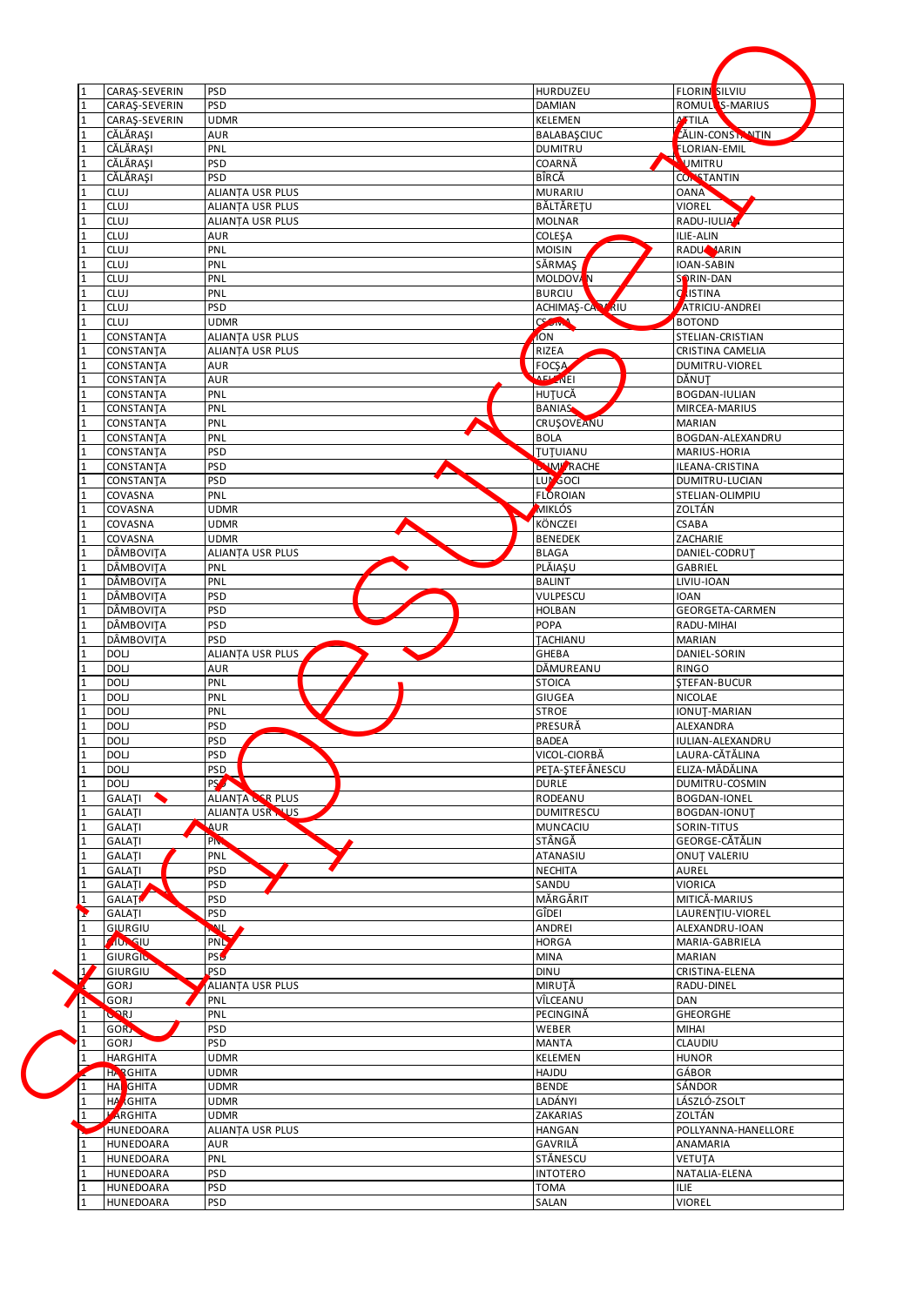| $\mathbf{1}$<br>$\mathbf{1}$ | CARAŞ-SEVERIN<br>CARAŞ-SEVERIN | <b>PSD</b><br>PSD        | HURDUZEU<br><b>DAMIAN</b>   | <b>FLORIN</b> SILVIU<br>ROMULL S-MARIUS |
|------------------------------|--------------------------------|--------------------------|-----------------------------|-----------------------------------------|
| $\mathbf{1}$                 | CARAŞ-SEVERIN                  | <b>UDMR</b>              | <b>KELEMEN</b>              | ATTILA                                  |
| $\mathbf{1}$                 | CĂLĂRASI                       | AUR                      | <b>BALABASCIUC</b>          | <b>ZÄLIN-CONSTANTIN</b>                 |
|                              | CĂLĂRAȘI                       | PNL                      | <b>DUMITRU</b>              | FLORIAN-EMIL                            |
|                              | CĂLĂRAȘI                       | <b>PSD</b>               | COARNĂ                      | <b>UMITRU</b>                           |
| $\mathbf{1}$                 | CĂLĂRAȘI                       | <b>PSD</b>               | BÎRCĂ                       | <b>CONSTANTIN</b>                       |
| 1                            | <b>CLUJ</b>                    | ALIANTA USR PLUS         | <b>MURARIU</b>              | <b>OANA</b>                             |
| $\mathbf{1}$                 | <b>CLUJ</b>                    | ALIANȚA USR PLUS         | BĂLTĂREȚU                   | VIOREL                                  |
| $\mathbf{1}$                 | <b>CLUJ</b>                    | <b>ALIANTA USR PLUS</b>  | <b>MOLNAR</b>               | RADU-IULIA                              |
| $\mathbf{1}$<br>1            | <b>CLUJ</b>                    | AUR                      | <b>COLEŞA</b>               | ILIE-ALIN                               |
| $\mathbf{1}$                 | <b>CLUJ</b><br>CLUJ            | PNL<br>PNL               | <b>MOISIN</b><br>SĂRMAŞ     | RADU <b>MARIN</b><br>IOAN-SABIN         |
|                              | <b>CLUJ</b>                    | PNL                      | MOLDOVAN                    | SORIN-DAN                               |
| $\mathbf{1}$                 | <b>CLUJ</b>                    | PNL                      | <b>BURCIU</b>               | d<br><b>ISTINA</b>                      |
|                              | CLUJ                           | <b>PSD</b>               | ACHIMAŞ-CAL KRIU            | ATRICIU-ANDREI                          |
| 1                            | <b>CLUJ</b>                    | <b>UDMR</b>              | CSOW                        | <b>BOTOND</b>                           |
| $\mathbf{1}$                 | CONSTANTA                      | <b>ALIANTA USR PLUS</b>  | <b>ION</b>                  | STELIAN-CRISTIAN                        |
| 1                            | CONSTANTA                      | <b>ALIANTA USR PLUS</b>  | <b>RIZEA</b>                | CRISTINA CAMELIA                        |
| $\mathbf 1$                  | CONSTANTA                      | AUR                      | <b>FOCSA</b>                | DUMITRU-VIOREL                          |
| 1                            | CONSTANTA                      | AUR                      | <b>AEL NEI</b>              | DĂNUT                                   |
| $\mathbf{1}$                 | CONSTANTA                      | PNL                      | HUTUCĂ                      | <b>BOGDAN-IULIAN</b>                    |
| $\mathbf{1}$                 | CONSTANTA                      | PNL<br>PNL               | <b>BANIAS</b><br>CRUSOVEANU | MIRCEA-MARIUS<br><b>MARIAN</b>          |
|                              | CONSTANTA<br>CONSTANTA         | ́<br>PNL                 | <b>BOLA</b>                 | <b>BOGDAN-ALEXANDRU</b>                 |
|                              | CONSTANTA                      | <b>PSD</b>               | TUTUIANU                    | MARIUS-HORIA                            |
| $\mathbf{1}$                 | CONSTANTA                      | <b>PSD</b>               | <b>DAWI RACHE</b>           | ILEANA-CRISTINA                         |
|                              | CONSTANTA                      | <b>PSD</b>               | LUM GOCI                    | DUMITRU-LUCIAN                          |
| $\mathbf{1}$                 | COVASNA                        | PNL                      | <b>FLOROIAN</b>             | STELIAN-OLIMPIU                         |
| $\mathbf{1}$                 | COVASNA                        | <b>UDMR</b>              | MIKLÓS                      | ZOLTÁN                                  |
| $\mathbf{1}$                 | COVASNA                        | <b>UDMR</b>              | KÖNCZEI                     | CSABA                                   |
| $\mathbf{1}$                 | COVASNA                        | <b>UDMR</b>              | <b>BENEDEK</b>              | ZACHARIE                                |
| 1                            | DÂMBOVIȚA                      | ALIANTA USR PLUS         | <b>BLAGA</b>                | DANIEL-CODRUT                           |
| $\mathbf{1}$                 | DÂMBOVITA<br>DÂMBOVIȚA         | PNL                      | PLĂIAȘU<br><b>BALINT</b>    | GABRIEL                                 |
|                              | DÂMBOVIȚA                      | PNL<br><b>PSD</b>        | VULPESCU                    | LIVIU-IOAN<br>IOAN                      |
| 1                            | DÂMBOVIȚA                      | <b>PSD</b>               | HOLBAN                      | GEORGETA-CARMEN                         |
| 1                            | DÂMBOVIȚA                      | <b>PSD</b>               | <b>POPA</b>                 | RADU-MIHAI                              |
|                              | <b>DÂMBOVITA</b>               | <b>PSD</b>               | TACHIANU                    | <b>MARIAN</b>                           |
| $\mathbf{1}$                 | DOLJ                           | ALIANTA USR PLUS         | GHEBA                       | DANIEL-SORIN                            |
|                              | DOLJ                           | <b>AUR</b>               | DĂMUREANU                   | <b>RINGO</b>                            |
| $\mathbf{1}$                 | DOLJ                           | PNL                      | <b>STOICA</b>               | <b>STEFAN-BUCUR</b>                     |
|                              | <b>DOLJ</b>                    | PNL                      | <b>GIUGEA</b>               | NICOLAE                                 |
|                              | <b>DOLJ</b>                    | PNL                      | <b>STROE</b><br>PRESURĂ     | IONUT-MARIAN<br>ALEXANDRA               |
| Ŧ.<br>$\mathbf{1}$           | DOLJ<br>DOLJ                   | <b>PSD</b><br><b>PSD</b> | <b>BADEA</b>                | IULIAN-ALEXANDRU                        |
| $\mathbf{1}$                 | DOLJ                           | PSD                      | VICOL-CIORBĂ                | LAURA-CĂTĂLINA                          |
| $\mathbf{1}$                 | DOLJ                           | PSD.                     | PETA-ȘTEFĂNESCU             | ELIZA-MĂDĂLINA                          |
| $\mathbf{1}$                 | DOLJ                           | <b>PSA COMPANY</b>       | <b>DURLE</b>                | DUMITRU-COSMIN                          |
| $\mathbf{1}$                 | GALATI<br>↖                    | ALIANȚA CER PLUS         | RODEANU                     | <b>BOGDAN-IONEL</b>                     |
| $\mathbf{1}$                 | GALATI                         | ALIANTA USR NUS          | <b>DUMITRESCU</b>           | <b>BOGDAN-IONUT</b>                     |
| $\mathbf{1}$                 | <b>GALATI</b>                  | AUR                      | MUNCACIU                    | SORIN-TITUS                             |
| $\mathbf{1}$                 | GALATI                         | PN <sub>3</sub>          | STÂNGĂ                      | GEORGE-CĂTĂLIN                          |
|                              | GALATI                         | PNL                      | ATANASIU                    | <b>ONUT VALERIU</b>                     |
|                              | GALATI<br><b>GALATI</b>        | <b>PSD</b><br><b>PSD</b> | <b>NECHITA</b><br>SANDU     | AUREL<br>VIORICA                        |
| $\mathbf{1}$                 | <b>GALAT</b>                   | <b>PSD</b>               | MĂRGĂRIT                    | MITICĂ-MARIUS                           |
| Y                            | GALATI                         | <b>PSD</b>               | GÎDEI                       | LAURENTIU-VIOREL                        |
|                              | GIURGIU                        | $\mathbf{v}$             | ANDREI                      | ALEXANDRU-IOAN                          |
|                              | <b>ADMSIU</b>                  | <b>PNL</b>               | <b>HORGA</b>                | MARIA-GABRIELA                          |
| 1                            | GIURGIO                        | <b>PSL</b>               | MINA                        | MARIAN                                  |
| $\overline{1}$               | GIURGIU                        | PSD                      | <b>DINU</b>                 | CRISTINA-ELENA                          |
|                              | GORJ                           | ALIANTA USR PLUS         | MIRUTĂ                      | RADU-DINEL                              |
| h                            | GORJ<br>GORI                   | PNL<br>PNL               | VÎLCEANU<br>PECINGINĂ       | DAN<br><b>GHEORGHE</b>                  |
| 1                            | <b>GORN</b>                    | <b>PSD</b>               | WEBER                       | MIHAI                                   |
|                              | GORJ                           | PSD                      | <b>MANTA</b>                | CLAUDIU                                 |
| 1                            | HARGHITA                       | <b>UDMR</b>              | KELEMEN                     | <b>HUNOR</b>                            |
|                              | <b>HARGHITA</b>                | <b>UDMR</b>              | HAJDU                       | GÁBOR                                   |
|                              | <b>HA</b> GHITA                | <b>UDMR</b>              | <b>BENDE</b>                | SÁNDOR                                  |
| 1                            | <b>HA GHITA</b>                | <b>UDMR</b>              | LADÁNYI                     | LÁSZLÓ-ZSOLT                            |
| 1                            | <b>ARGHITA</b>                 | <b>UDMR</b>              | ZAKARIAS                    | ZOLTÁN                                  |
|                              | <b>HUNEDOARA</b>               | ALIANȚA USR PLUS         | <b>HANGAN</b>               | POLLYANNA-HANELLORE                     |
| 1                            | HUNEDOARA                      | AUR                      | GAVRILĂ                     | ANAMARIA                                |
|                              | HUNEDOARA<br>HUNEDOARA         | PNL<br><b>PSD</b>        | STĂNESCU                    | VETUTA                                  |
|                              |                                |                          | <b>INTOTERO</b>             | NATALIA-ELENA                           |
| $\mathbf{1}$                 | HUNEDOARA                      | <b>PSD</b>               | <b>TOMA</b>                 | ILIE.                                   |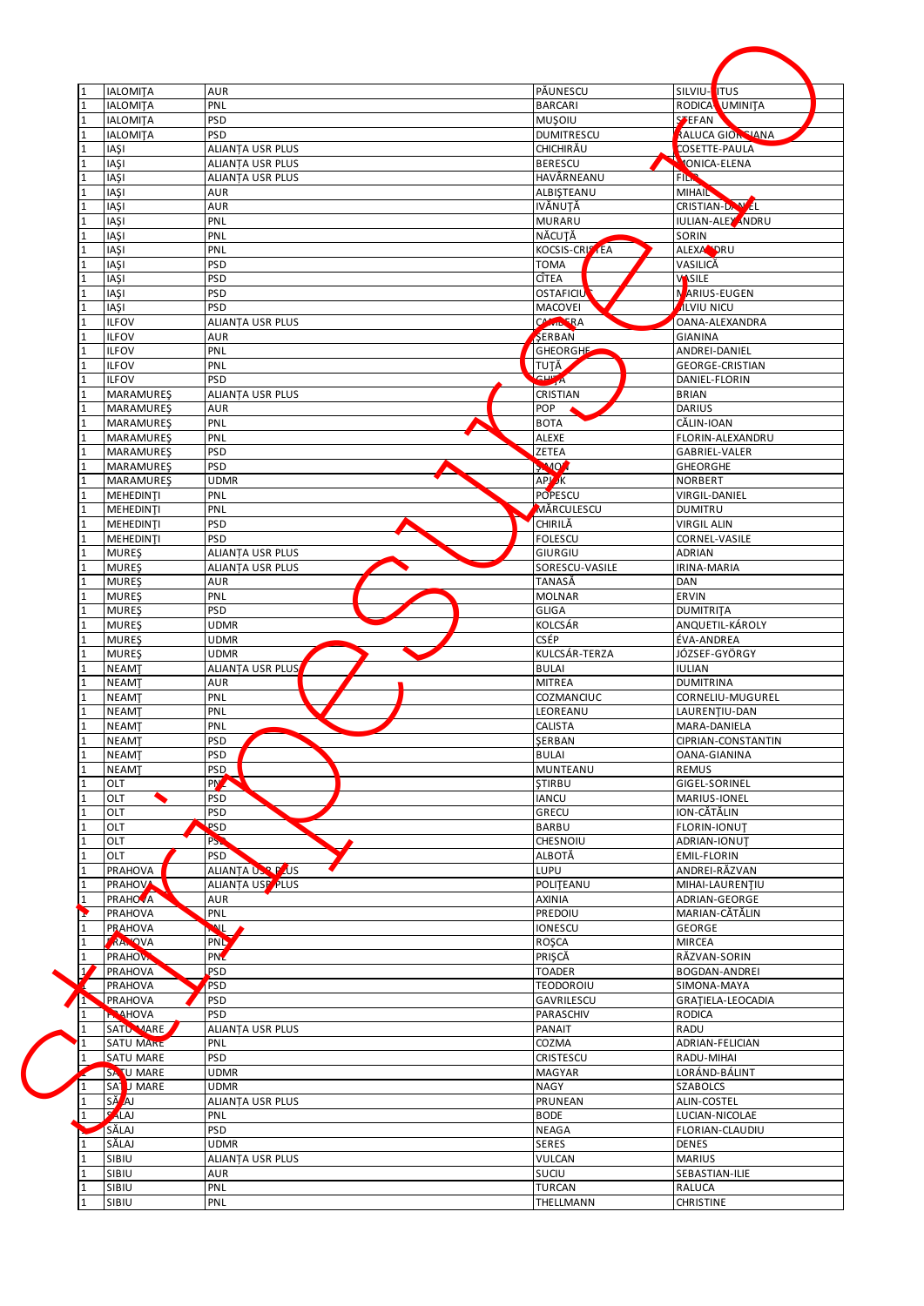|                              | <b>IALOMITA</b>               | <b>AUR</b>                | PĂUNESCU                       | SILVIU-I<br><b>ITUS</b>            |
|------------------------------|-------------------------------|---------------------------|--------------------------------|------------------------------------|
|                              | <b>IALOMITA</b>               | PNL                       | <b>BARCARI</b>                 | RODICA UMINITA                     |
| $\mathbf{1}$                 | <b>IALOMITA</b>               | <b>PSD</b>                | MUŞOIU                         | <b>SPEFAN</b>                      |
| $\mathbf{1}$                 | <b>IALOMITA</b>               | <b>PSD</b>                | <b>DUMITRESCU</b>              | <b>ALUCA GION SIANA</b>            |
| $\mathbf{1}$                 | <b>IAŞI</b>                   | ALIANȚA USR PLUS          | CHICHIRĂU                      | COSETTE-PAULA                      |
| $\mathbf{1}$                 | <b>IASI</b>                   | <b>ALIANTA USR PLUS</b>   | <b>BERESCU</b>                 | <b>IONICA-ELENA</b>                |
| 1                            | <b>IAŞI</b>                   | ALIANTA USR PLUS          | HAVÂRNEANU                     | <b>FILM</b>                        |
|                              | <b>IAŞI</b>                   | AUR                       | ALBIŞTEANU                     | <b>MIHAIL</b>                      |
| 1                            | <b>IAŞI</b>                   | <b>AUR</b>                | <b>IVĂNUTĂ</b>                 | CRISTIAN-DAW EL                    |
|                              | <b>IAŞI</b>                   | PNL                       | <b>MURARU</b>                  | IULIAN-ALEY ANDRU                  |
| 1                            | <b>IAŞI</b>                   | PNL                       | NĂCUTĂ                         | SORIN                              |
|                              | IAŞI<br><b>IAŞI</b>           | PNL<br>PSD                | KOCSIS-CRISTEA<br><b>TOMA</b>  | ALEXA <sup>N</sup> DRU<br>VASILICĂ |
| $\mathbf{1}$                 | <b>IAŞI</b>                   | <b>PSD</b>                | <b>CÎTEA</b>                   | VASILE                             |
| 1                            | <b>IASI</b>                   | <b>PSD</b>                | <b>OSTAFICIU</b>               | NARIUS-EUGEN                       |
| $\mathbf{1}$                 | <b>IAŞI</b>                   | PSD                       | <b>MACOVEI</b>                 | <b>ILVIU NICU</b>                  |
|                              | <b>ILFOV</b>                  | ALIANTA USR PLUS          | CAMILERA                       | OANA-ALEXANDRA                     |
| $\mathbf{1}$                 | <b>ILFOV</b>                  | AUR                       | SERBAN                         | <b>GIANINA</b>                     |
| 1                            | <b>ILFOV</b>                  | PNL                       | <b>GHEORGHE</b>                | ANDREI-DANIEL                      |
| $\mathbf{1}$                 | <b>ILFOV</b>                  | PNL                       | TUTĂ                           | <b>GEORGE-CRISTIAN</b>             |
| $\mathbf{1}$                 | <b>ILFOV</b>                  | <b>PSD</b>                | <b>CHIA</b>                    | DANIEL-FLORIN                      |
| $\mathbf{1}$                 | <b>MARAMUREŞ</b>              | ALIANȚA USR PLUS          | CRISTIAN                       | <b>BRIAN</b>                       |
| $\mathbf{1}$                 | MARAMUREŞ                     | AUR                       | <b>POP</b>                     | DARIUS                             |
| $\mathbf{1}$<br>$\mathbf{1}$ | MARAMUREŞ<br><b>MARAMUREŞ</b> | PNL<br>́<br>PNL           | <b>BOTA</b><br><b>ALEXE</b>    | CĂLIN-IOAN<br>FLORIN-ALEXANDRU     |
| $\mathbf{1}$                 | <b>MARAMURES</b>              | <b>PSD</b>                | <b>ZETEA</b>                   | GABRIEL-VALER                      |
| 1                            | <b>MARAMURES</b>              | PSD                       | <b>SMO</b>                     | <b>GHEORGHE</b>                    |
| $\mathbf{1}$                 | MARAMUREŞ                     | <b>UDMR</b>               | <b>APJ</b> K                   | NORBERT                            |
| $\overline{1}$               | MEHEDINTI                     | PNL                       | POPESCU                        | VIRGIL-DANIEL                      |
| 1                            | MEHEDINTI                     | PNL                       | MĂRCULESCU                     | <b>DUMITRU</b>                     |
| $\mathbf{1}$                 | MEHEDINTI                     | <b>PSD</b>                | CHIRILĂ                        | <b>VIRGIL ALIN</b>                 |
| $\mathbf{1}$                 | MEHEDINTI                     | <b>PSD</b>                | <b>FOLESCU</b>                 | CORNEL-VASILE                      |
|                              | <b>MURES</b>                  | ALIANTA USR PLUS          | GIURGIU                        | <b>ADRIAN</b>                      |
| 1                            | <b>MURES</b>                  | ALIANȚA USR PLUS          | SORESCU-VASILE                 | IRINA-MARIA                        |
| 1                            | <b>MURES</b>                  | AUR                       | TANASĂ                         | DAN                                |
| $\mathbf{1}$                 | <b>MURES</b>                  | PNL                       | <b>MOLNAR</b>                  | ERVIN                              |
| $\mathbf{1}$<br>1            | <b>MURES</b>                  | <b>PSD</b><br><b>UDMR</b> | <b>GLIGA</b><br><b>KOLCSÁR</b> | <b>DUMITRITA</b>                   |
|                              | <b>MURES</b><br><b>MURES</b>  | <b>UDMR</b>               | <b>CSÉP</b>                    | ANQUETIL-KÁROLY<br>ÉVA-ANDREA      |
| 1                            | <b>MURES</b>                  | <b>UDMR</b>               | KULCSÁR-TERZA                  | JÓZSEF-GYÖRGY                      |
|                              | <b>NEAMT</b>                  | ALIANTA USR PLUS          | <b>BULAI</b>                   | <b>IULIAN</b>                      |
|                              | <b>NEAMT</b>                  | AUR                       | <b>MITREA</b>                  | <b>DUMITRINA</b>                   |
|                              | <b>NEAMT</b>                  | PNL                       | COZMANCIUC                     | CORNELIU-MUGUREL                   |
|                              | <b>NEAMT</b>                  | PNL                       | LEOREANU                       | LAURENTIU-DAN                      |
|                              | <b>NEAMT</b>                  | PNL                       | <b>CALISTA</b>                 | MARA-DANIELA                       |
| 1                            | <b>NEAMT</b>                  | <b>PSD</b>                | SERBAN                         | CIPRIAN-CONSTANTIN                 |
| 1                            | <b>NEAMT</b>                  | <b>PSD</b>                | BULAI                          | OANA-GIANINA                       |
| $\mathbf{1}$                 | <b>NEAMT</b>                  | PSD.                      | MUNTEANU                       | <b>REMUS</b>                       |
| 1<br>$\mathbf{1}$            | OLT<br>OLT                    | <b>PM</b><br><b>PSD</b>   | <b>STIRBU</b><br><b>IANCU</b>  | GIGEL-SORINEL<br>MARIUS-IONEL      |
| $\mathbf{1}$                 | OLT                           | <b>PSD</b>                | GRECU                          | ION-CĂTĂLIN                        |
| $\mathbf{1}$                 | OLT                           | <b>PSD</b>                | <b>BARBU</b>                   | <b>FLORIN-IONUT</b>                |
| $\mathbf{1}$                 | OLT                           | P <sub>S</sub>            | CHESNOIU                       | ADRIAN-IONUT                       |
| $\mathbf{1}$                 | OLT                           | PSD                       | ALBOTĂ                         | <b>EMIL-FLORIN</b>                 |
|                              | <b>PRAHOVA</b>                | ALIANȚA USP PAUS          | LUPU                           | ANDREI-RĂZVAN                      |
| $\mathbf{1}$                 | PRAHOV                        | ALIANTA USP PLUS          | POLITEANU                      | MIHAI-LAURENȚIU                    |
|                              | <b>PRAHOVA</b>                | <b>AUR</b>                | <b>AXINIA</b>                  | ADRIAN-GEORGE                      |
| 1                            |                               |                           |                                | MARIAN-CĂTĂLIN                     |
| $\mathbf{r}$                 | PRAHOVA                       | PNL                       | PREDOIU                        |                                    |
|                              | <b>PRAHOVA</b>                | Ź                         | <b>IONESCU</b>                 | GEORGE                             |
|                              | <b>RANOVA</b>                 | <b>PNL</b>                | ROŞCA                          | <b>MIRCEA</b>                      |
|                              | <b>PRAHOVA</b>                | PN <sup>2</sup>           | PRIȘCĂ                         | RĂZVAN-SORIN                       |
| $\overline{1}$               | PRAHOVA                       | PSD                       | <b>TOADER</b>                  | BOGDAN-ANDREI                      |
|                              | PRAHOVA                       | PSD                       | <b>TEODOROIU</b>               | SIMONA-MAYA                        |
| $\Gamma$                     | PRAHOVA                       | PSD                       | GAVRILESCU                     | GRATIELA-LEOCADIA                  |
| 1<br>$\mathbf{1}$            | <b>P. AHOVA</b>               | PSD                       | PARASCHIV                      | <b>RODICA</b>                      |
| $\mathbf{1}$                 | SATU MARE<br><b>SATU MARE</b> | ALIANȚA USR PLUS<br>PNL   | PANAIT<br>COZMA                | RADU<br>ADRIAN-FELICIAN            |
| 1                            | SATU MARE                     | <b>PSD</b>                | CRISTESCU                      | RADU-MIHAI                         |
|                              | SATU MARE                     | <b>UDMR</b>               | <b>MAGYAR</b>                  | LORÁND-BÁLINT                      |
|                              | SA U MARE                     | <b>UDMR</b>               | NAGY                           | <b>SZABOLCS</b>                    |
|                              | SĂ AJ                         | ALIANȚA USR PLUS          | PRUNEAN                        | ALIN-COSTEL                        |
|                              | A LAJ                         | PNL                       | <b>BODE</b>                    | LUCIAN-NICOLAE                     |
|                              | SĂLAJ                         | <b>PSD</b>                | NEAGA                          | FLORIAN-CLAUDIU                    |
| 1                            | SĂLAJ                         | UDMR                      | <b>SERES</b>                   | DENES                              |
| $\mathbf{1}$                 | SIBIU                         | ALIANȚA USR PLUS          | VULCAN                         | <b>MARIUS</b>                      |
| 1                            | SIBIU<br>SIBIU                | AUR<br>PNL                | SUCIU<br>TURCAN                | SEBASTIAN-ILIE<br>RALUCA           |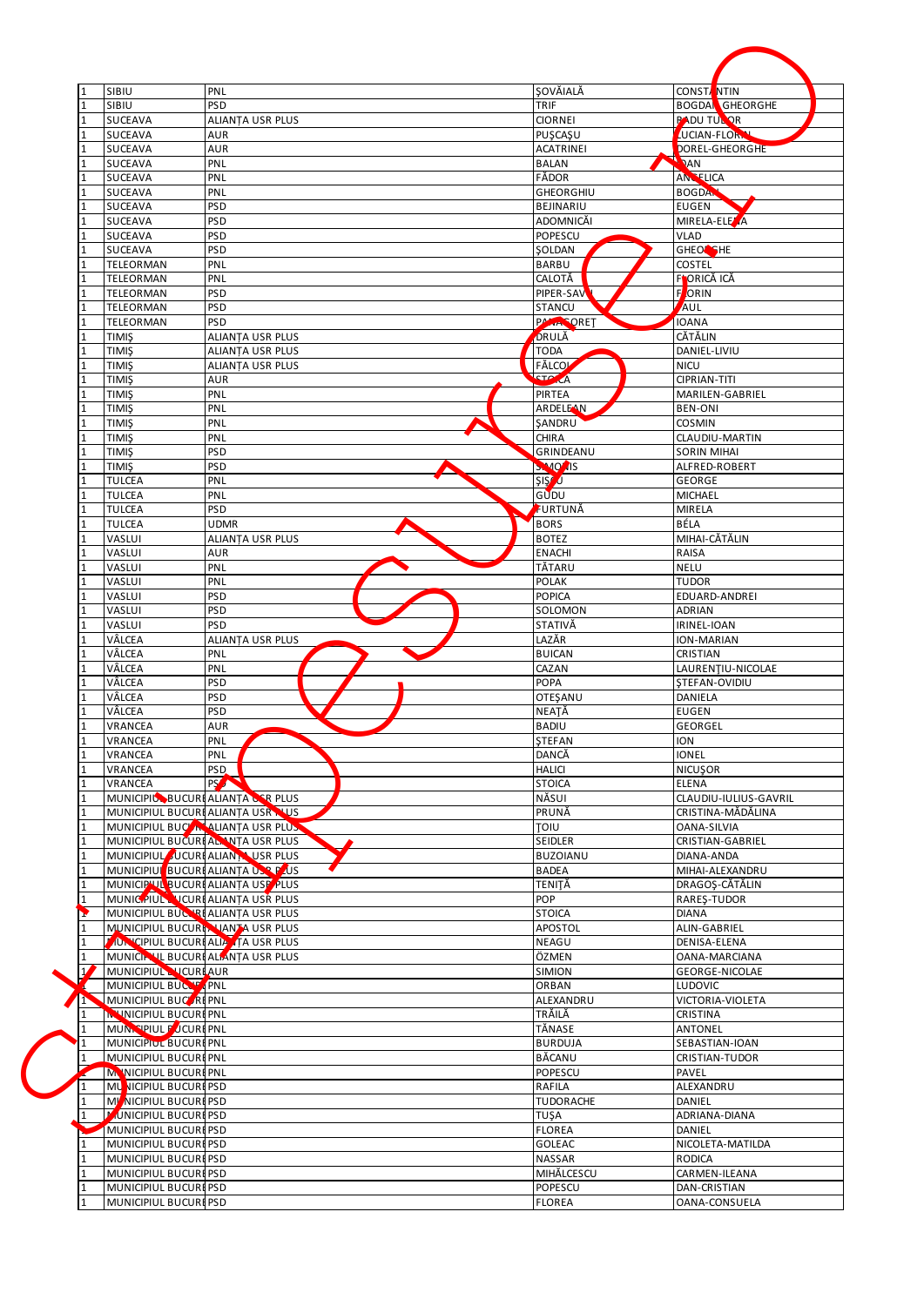| $\mathbf{1}$                 | SIBIU                                     | PNL                                   | <b>ŞOVĂIALĂ</b>             | <b>CONSTANTIN</b>                     |
|------------------------------|-------------------------------------------|---------------------------------------|-----------------------------|---------------------------------------|
| $\mathbf{1}$                 | SIBIU                                     | <b>PSD</b><br><b>ALIANTA USR PLUS</b> | TRIF                        | <b>BOGDAN GHEORGHE</b>                |
| $\mathbf{1}$<br>$\mathbf{1}$ | <b>SUCEAVA</b><br><b>SUCEAVA</b>          | AUR                                   | <b>CIORNEI</b><br>PUSCASU   | <b>PADU TULOR</b><br>UCIAN-FLORAL     |
|                              | <b>SUCEAVA</b>                            | <b>AUR</b>                            | <b>ACATRINEI</b>            | DOREL-GHEORGHE                        |
|                              | SUCEAVA                                   | PNL                                   | <b>BALAN</b>                | DAN                                   |
| 1                            | SUCEAVA                                   | PNL                                   | FĂDOR                       | <b>ANCELICA</b>                       |
| 1                            | SUCEAVA                                   | PNL                                   | GHEORGHIU                   | <b>BOGDAN</b>                         |
| $\mathbf{1}$                 | <b>SUCEAVA</b>                            | <b>PSD</b>                            | BEJINARIU                   | <b>EUGEN</b>                          |
| $\mathbf{1}$                 | SUCEAVA                                   | <b>PSD</b>                            | ADOMNICĂI                   | MIRELA-ELEZA                          |
| $\mathbf{1}$                 | SUCEAVA                                   | <b>PSD</b>                            | POPESCU                     | <b>VLAD</b>                           |
| 1                            | <b>SUCEAVA</b>                            | <b>PSD</b>                            | SOLDAN                      | GHEOR SHE                             |
| $\mathbf{1}$                 | TELEORMAN                                 | PNL                                   | <b>BARBU</b>                | <b>COSTEL</b>                         |
|                              | TELEORMAN                                 | PNL                                   | CALOTĂ                      | FORICĂ ICĂ                            |
| $\mathbf{1}$                 | <b>TELEORMAN</b>                          | <b>PSD</b>                            | PIPER-SAV                   | F<br>ORIN                             |
| 1                            | TELEORMAN                                 | <b>PSD</b>                            | <b>STANCU</b>               | AUL                                   |
| $\mathbf{1}$                 | TELEORMAN                                 | <b>PSD</b>                            | <b>PALLA ORET</b>           | <b>IOANA</b>                          |
| $\mathbf{1}$                 | <b>TIMIS</b>                              | ALIANȚA USR PLUS                      | DRULĂ                       | CĂTĂLIN                               |
| 1                            | <b>TIMIS</b>                              | ALIANȚA USR PLUS                      | <b>TODA</b>                 | DANIEL-LIVIU                          |
| $\mathbf{1}$                 | <b>TIMIŞ</b>                              | <b>ALIANTA USR PLUS</b>               | FĂLCOL                      | <b>NICU</b>                           |
|                              | <b>TIMIS</b>                              | AUR                                   | <b>STA A</b>                | <b>CIPRIAN-TITI</b>                   |
| $\mathbf{1}$                 | <b>TIMIŞ</b>                              | PNL                                   | PIRTEA                      | MARILEN-GABRIEL                       |
|                              | <b>TIMIS</b>                              | PNL                                   | <b>ARDELEAN</b>             | <b>BEN-ONI</b>                        |
| 1                            | <b>TIMIS</b>                              | PNL<br>́                              | SANDRU                      | <b>COSMIN</b>                         |
|                              | <b>TIMIS</b>                              | PNL                                   | CHIRA                       | CLAUDIU-MARTIN                        |
| $\mathbf{1}$                 | <b>TIMIŞ</b><br><b>TIMIŞ</b>              | <b>PSD</b><br><b>PSD</b>              | GRINDEANU<br><b>SMOZIIS</b> | <b>SORIN MIHAI</b>                    |
|                              | <b>TULCEA</b>                             | PNL                                   | SIS <sup>7</sup> U          | ALFRED-ROBERT<br><b>GEORGE</b>        |
| $\mathbf{1}$                 | <b>TULCEA</b>                             | PNL                                   | GUDU                        | MICHAEL                               |
| $\mathbf{1}$                 | <b>TULCEA</b>                             | <b>PSD</b>                            | FURTUNĂ                     | MIRELA                                |
| $\mathbf{1}$                 | <b>TULCEA</b>                             | <b>UDMR</b>                           | <b>BORS</b>                 | BÉLA                                  |
| $\mathbf{1}$                 | VASLUI                                    | <b>ALIANTA USR PLUS</b>               | <b>BOTEZ</b>                | MIHAI-CĂTĂLIN                         |
| 1                            | VASLUI                                    | AUR                                   | <b>ENACHI</b>               | RAISA                                 |
|                              | VASLUI                                    | PNL                                   | TĂTARU                      | NELU                                  |
| $\mathbf{1}$                 | VASLUI                                    | PNL                                   | <b>POLAK</b>                | <b>TUDOR</b>                          |
|                              | VASLUI                                    | <b>PSD</b>                            | <b>POPICA</b>               | EDUARD-ANDREI                         |
| $\mathbf{1}$                 | VASLUI                                    | <b>PSD</b>                            | SOLOMON                     | <b>ADRIAN</b>                         |
| $\mathbf{1}$                 | VASLUI                                    | <b>PSD</b>                            | STATIVĂ                     | <b>IRINEL-IOAN</b>                    |
| $\mathbf{1}$                 | VÂLCEA                                    | <b>ALIANTA USR PLUS</b>               | LAZĂR                       | <b>ION-MARIAN</b>                     |
| $\mathbf{1}$                 | VÂLCEA                                    | PNL                                   | <b>BUICAN</b>               | CRISTIAN                              |
|                              | VÂLCEA                                    | PNL                                   | CAZAN                       | LAURENTIU-NICOLAE                     |
| $\mathbf{1}$                 | VÂLCEA                                    | <b>PSD</b>                            | <b>POPA</b>                 | <b>STEFAN-OVIDIU</b>                  |
|                              | VÂLCEA                                    | PSD                                   | OTEŞANU                     | DANIELA                               |
| 1                            | VÂLCEA                                    | <b>PSD</b>                            | NEATĂ                       | <b>EUGEN</b>                          |
|                              | VRANCEA                                   | AUR                                   | <b>BADIU</b>                | GEORGEL                               |
| $\mathbf{1}$                 | VRANCEA                                   | PNL                                   | <b>STEFAN</b>               | ion                                   |
| $\mathbf{1}$                 | VRANCEA                                   | PNL                                   | DANCĂ                       | <b>IONEL</b>                          |
| 1                            | VRANCEA                                   | PSD.                                  | <b>HALICI</b>               | <b>NICUSOR</b>                        |
| $\mathbf{1}$                 | VRANCEA                                   | <b>PS AN</b>                          | <b>STOICA</b>               | ELENA                                 |
| $\mathbf{1}$                 | MUNICIPIO BUCURE ALIANȚA CR PLUS          |                                       | NĂSUI                       | CLAUDIU-IULIUS-GAVRIL                 |
| $\mathbf{1}$                 | MUNICIPIUL BUCUREALIANȚA USR NUS          |                                       | PRUNĂ                       | CRISTINA-MĂDĂLINA                     |
| $\mathbf{1}$                 | MUNICIPIUL BUCURIAL NTA USR PLUS          | MUNICIPIUL BUC A ALIANȚA USR PLUS     | <b>UIOT</b>                 | <b>OANA-SILVIA</b>                    |
| $\mathbf{1}$                 | MUNICIPIUL JUCURE ALIAN NUSR PLUS         |                                       | SEIDLER<br><b>BUZOIANU</b>  | <b>CRISTIAN-GABRIEL</b><br>DIANA-ANDA |
|                              | MUNICIPIUI BUCUREALIANȚA DE PLUS          |                                       | <b>BADEA</b>                | MIHAI-ALEXANDRU                       |
|                              | MUNICIPIUL BUCUREALIANȚA USP PLUS         |                                       | TENIȚĂ                      | DRAGOS-CĂTĂLIN                        |
| $\mathbf{1}$                 | MUNIC PIUL VCURE ALIANȚA USR PLUS         |                                       | POP                         | RARES-TUDOR                           |
| T                            | MUNICIPIUL BUCCREALIANȚA USR PLUS         |                                       | <b>STOICA</b>               | <b>DIANA</b>                          |
|                              | MUNICIPIUL BUCURI NANTA USR PLUS          |                                       | APOSTOL                     | ALIN-GABRIEL                          |
| $\mathbf{1}$                 | <b>JON CIPIUL BUCUREALLY JTA USR PLUS</b> |                                       | NEAGU                       | DENISA-ELENA                          |
|                              | MUNICIALLE BUCURE ALIANTA USR PLUS        |                                       | ÖZMEN                       | OANA-MARCIANA                         |
| $\overline{1}$               | MUNICIPIUL NCURLAUR                       |                                       | SIMION                      | <b>GEORGE-NICOLAE</b>                 |
|                              | MUNICIPIUL BUCCE PIPNL                    |                                       | ORBAN                       | LUDOVIC                               |
| $\boldsymbol{\Lambda}$       | MUNICIPIUL BUCLRIPNL                      |                                       | ALEXANDRU                   | VICTORIA-VIOLETA                      |
|                              | <b>NUNICIPIUL BUCUREPNL</b>               |                                       | TRĂILĂ                      | CRISTINA                              |
| $\mathbf{1}$                 | MUNICIPIUL FUCURE PNL                     |                                       | TĂNASE                      | ANTONEL                               |
| 1                            | MUNICIPIUL BUCURE PNL                     |                                       | <b>BURDUJA</b>              | SEBASTIAN-IOAN                        |
| 1                            | MUNICIPIUL BUCUREPNL                      |                                       | BĂCANU                      | CRISTIAN-TUDOR                        |
|                              | MUNICIPIUL BUCUREPNL                      |                                       | POPESCU                     | PAVEL                                 |
|                              | MU VICIPIUL BUCUREPSD                     |                                       | RAFILA                      | ALEXANDRU                             |
| 1                            | MI NICIPIUL BUCUREPSD                     |                                       | TUDORACHE                   | DANIEL                                |
| $\mathbf{1}$                 | MUNICIPIUL BUCUREPSD                      |                                       | <b>TUŞA</b>                 | ADRIANA-DIANA                         |
|                              | <b>MUNICIPIUL BUCUREPSD</b>               |                                       | <b>FLOREA</b>               | DANIEL                                |
|                              | MUNICIPIUL BUCUREPSD                      |                                       | GOLEAC                      | NICOLETA-MATILDA                      |
| 1                            | MUNICIPIUL BUCUREPSD                      |                                       | NASSAR                      | RODICA                                |
|                              |                                           |                                       |                             |                                       |
|                              | MUNICIPIUL BUCUREPSD                      |                                       | MIHĂLCESCU                  | CARMEN-ILEANA                         |
| $\mathbf{1}$                 | MUNICIPIUL BUCUREPSD                      |                                       | POPESCU                     | DAN-CRISTIAN                          |
| 1                            | MUNICIPIUL BUCUREPSD                      |                                       | <b>FLOREA</b>               | OANA-CONSUELA                         |